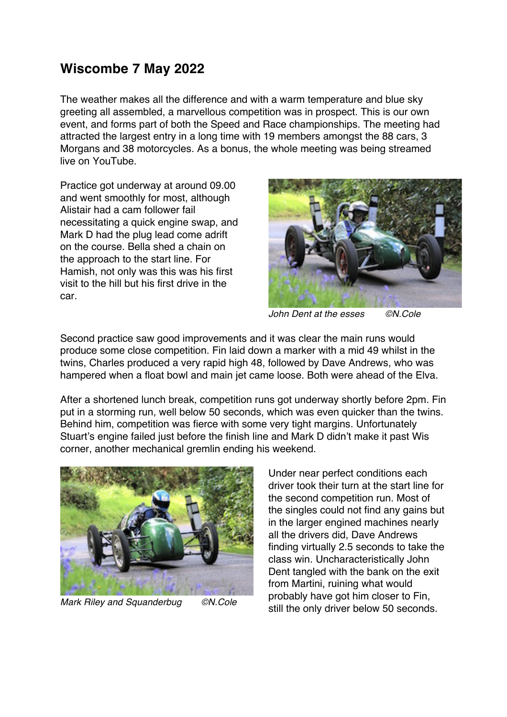## **Wiscombe 7 May 2022**

The weather makes all the difference and with a warm temperature and blue sky greeting all assembled, a marvellous competition was in prospect. This is our own event, and forms part of both the Speed and Race championships. The meeting had attracted the largest entry in a long time with 19 members amongst the 88 cars, 3 Morgans and 38 motorcycles. As a bonus, the whole meeting was being streamed live on YouTube.

Practice got underway at around 09.00 and went smoothly for most, although Alistair had a cam follower fail necessitating a quick engine swap, and Mark D had the plug lead come adrift on the course. Bella shed a chain on the approach to the start line. For Hamish, not only was this was his first visit to the hill but his first drive in the car.



*John Dent at the esses ©N.Cole*

Second practice saw good improvements and it was clear the main runs would produce some close competition. Fin laid down a marker with a mid 49 whilst in the twins, Charles produced a very rapid high 48, followed by Dave Andrews, who was hampered when a float bowl and main jet came loose. Both were ahead of the Elva.

After a shortened lunch break, competition runs got underway shortly before 2pm. Fin put in a storming run, well below 50 seconds, which was even quicker than the twins. Behind him, competition was fierce with some very tight margins. Unfortunately Stuart's engine failed just before the finish line and Mark D didn't make it past Wis corner, another mechanical gremlin ending his weekend.



*Mark Riley and Squanderbug ©N.Cole*

Under near perfect conditions each driver took their turn at the start line for the second competition run. Most of the singles could not find any gains but in the larger engined machines nearly all the drivers did, Dave Andrews finding virtually 2.5 seconds to take the class win. Uncharacteristically John Dent tangled with the bank on the exit from Martini, ruining what would probably have got him closer to Fin, still the only driver below 50 seconds.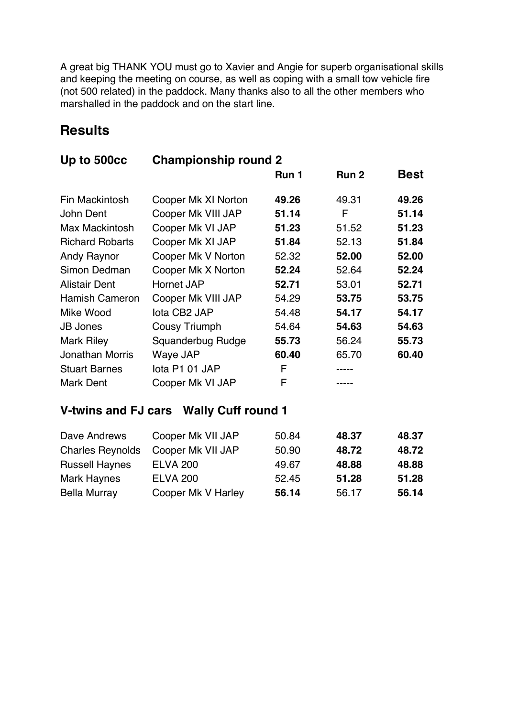A great big THANK YOU must go to Xavier and Angie for superb organisational skills and keeping the meeting on course, as well as coping with a small tow vehicle fire (not 500 related) in the paddock. Many thanks also to all the other members who marshalled in the paddock and on the start line.

## **Results**

## **Up to 500cc Championship round 2**

|                        |                      | Run 1 | Run 2 | <b>Best</b> |
|------------------------|----------------------|-------|-------|-------------|
| Fin Mackintosh         | Cooper Mk XI Norton  | 49.26 | 49.31 | 49.26       |
| John Dent              | Cooper Mk VIII JAP   | 51.14 | F     | 51.14       |
| <b>Max Mackintosh</b>  | Cooper Mk VI JAP     | 51.23 | 51.52 | 51.23       |
| <b>Richard Robarts</b> | Cooper Mk XI JAP     | 51.84 | 52.13 | 51.84       |
| Andy Raynor            | Cooper Mk V Norton   | 52.32 | 52.00 | 52.00       |
| Simon Dedman           | Cooper Mk X Norton   | 52.24 | 52.64 | 52.24       |
| <b>Alistair Dent</b>   | Hornet JAP           | 52.71 | 53.01 | 52.71       |
| <b>Hamish Cameron</b>  | Cooper Mk VIII JAP   | 54.29 | 53.75 | 53.75       |
| Mike Wood              | lota CB2 JAP         | 54.48 | 54.17 | 54.17       |
| <b>JB Jones</b>        | <b>Cousy Triumph</b> | 54.64 | 54.63 | 54.63       |
| <b>Mark Riley</b>      | Squanderbug Rudge    | 55.73 | 56.24 | 55.73       |
| <b>Jonathan Morris</b> | Waye JAP             | 60.40 | 65.70 | 60.40       |
| <b>Stuart Barnes</b>   | lota P1 01 JAP       | F     |       |             |
| <b>Mark Dent</b>       | Cooper Mk VI JAP     | F     |       |             |

## **V-twins and FJ cars Wally Cuff round 1**

| Dave Andrews            | Cooper Mk VII JAP  | 50.84 | 48.37 | 48.37 |
|-------------------------|--------------------|-------|-------|-------|
| <b>Charles Reynolds</b> | Cooper Mk VII JAP  | 50.90 | 48.72 | 48.72 |
| <b>Russell Haynes</b>   | <b>ELVA 200</b>    | 49.67 | 48.88 | 48.88 |
| <b>Mark Haynes</b>      | <b>ELVA 200</b>    | 52.45 | 51.28 | 51.28 |
| <b>Bella Murray</b>     | Cooper Mk V Harley | 56.14 | 56.17 | 56.14 |